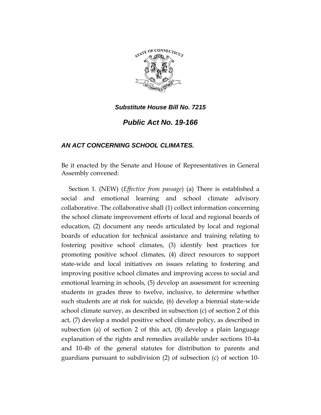

# *Public Act No. 19-166*

# *AN ACT CONCERNING SCHOOL CLIMATES.*

Be it enacted by the Senate and House of Representatives in General Assembly convened:

Section 1. (NEW) (*Effective from passage*) (a) There is established a social and emotional learning and school climate advisory collaborative. The collaborative shall (1) collect information concerning the school climate improvement efforts of local and regional boards of education, (2) document any needs articulated by local and regional boards of education for technical assistance and training relating to fostering positive school climates, (3) identify best practices for promoting positive school climates, (4) direct resources to support state-wide and local initiatives on issues relating to fostering and improving positive school climates and improving access to social and emotional learning in schools, (5) develop an assessment for screening students in grades three to twelve, inclusive, to determine whether such students are at risk for suicide, (6) develop a biennial state-wide school climate survey, as described in subsection (c) of section 2 of this act, (7) develop a model positive school climate policy, as described in subsection (a) of section 2 of this act, (8) develop a plain language explanation of the rights and remedies available under sections 10-4a and 10-4b of the general statutes for distribution to parents and guardians pursuant to subdivision (2) of subsection (c) of section 10-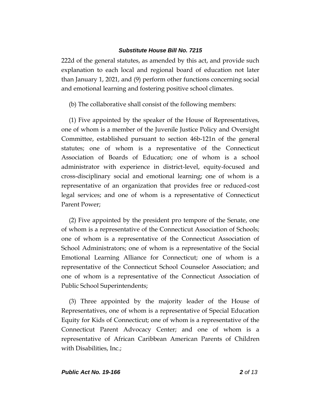222d of the general statutes, as amended by this act, and provide such explanation to each local and regional board of education not later than January 1, 2021, and (9) perform other functions concerning social and emotional learning and fostering positive school climates.

(b) The collaborative shall consist of the following members:

(1) Five appointed by the speaker of the House of Representatives, one of whom is a member of the Juvenile Justice Policy and Oversight Committee, established pursuant to section 46b-121n of the general statutes; one of whom is a representative of the Connecticut Association of Boards of Education; one of whom is a school administrator with experience in district-level, equity-focused and cross-disciplinary social and emotional learning; one of whom is a representative of an organization that provides free or reduced-cost legal services; and one of whom is a representative of Connecticut Parent Power;

(2) Five appointed by the president pro tempore of the Senate, one of whom is a representative of the Connecticut Association of Schools; one of whom is a representative of the Connecticut Association of School Administrators; one of whom is a representative of the Social Emotional Learning Alliance for Connecticut; one of whom is a representative of the Connecticut School Counselor Association; and one of whom is a representative of the Connecticut Association of Public School Superintendents;

(3) Three appointed by the majority leader of the House of Representatives, one of whom is a representative of Special Education Equity for Kids of Connecticut; one of whom is a representative of the Connecticut Parent Advocacy Center; and one of whom is a representative of African Caribbean American Parents of Children with Disabilities, Inc.;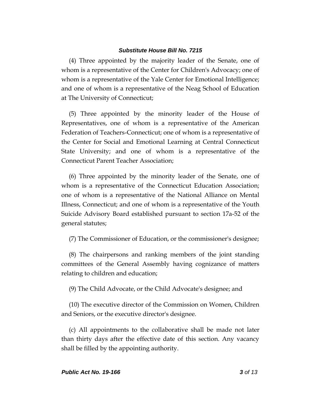(4) Three appointed by the majority leader of the Senate, one of whom is a representative of the Center for Children's Advocacy; one of whom is a representative of the Yale Center for Emotional Intelligence; and one of whom is a representative of the Neag School of Education at The University of Connecticut;

(5) Three appointed by the minority leader of the House of Representatives, one of whom is a representative of the American Federation of Teachers-Connecticut; one of whom is a representative of the Center for Social and Emotional Learning at Central Connecticut State University; and one of whom is a representative of the Connecticut Parent Teacher Association;

(6) Three appointed by the minority leader of the Senate, one of whom is a representative of the Connecticut Education Association; one of whom is a representative of the National Alliance on Mental Illness, Connecticut; and one of whom is a representative of the Youth Suicide Advisory Board established pursuant to section 17a-52 of the general statutes;

(7) The Commissioner of Education, or the commissioner's designee;

(8) The chairpersons and ranking members of the joint standing committees of the General Assembly having cognizance of matters relating to children and education;

(9) The Child Advocate, or the Child Advocate's designee; and

(10) The executive director of the Commission on Women, Children and Seniors, or the executive director's designee.

(c) All appointments to the collaborative shall be made not later than thirty days after the effective date of this section. Any vacancy shall be filled by the appointing authority.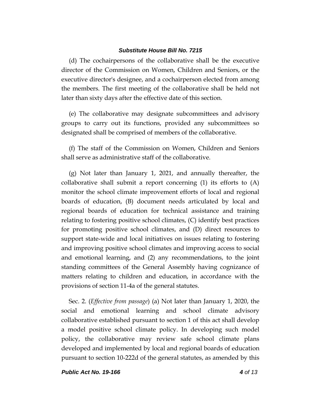(d) The cochairpersons of the collaborative shall be the executive director of the Commission on Women, Children and Seniors, or the executive director's designee, and a cochairperson elected from among the members. The first meeting of the collaborative shall be held not later than sixty days after the effective date of this section.

(e) The collaborative may designate subcommittees and advisory groups to carry out its functions, provided any subcommittees so designated shall be comprised of members of the collaborative.

(f) The staff of the Commission on Women, Children and Seniors shall serve as administrative staff of the collaborative.

(g) Not later than January 1, 2021, and annually thereafter, the collaborative shall submit a report concerning (1) its efforts to (A) monitor the school climate improvement efforts of local and regional boards of education, (B) document needs articulated by local and regional boards of education for technical assistance and training relating to fostering positive school climates, (C) identify best practices for promoting positive school climates, and (D) direct resources to support state-wide and local initiatives on issues relating to fostering and improving positive school climates and improving access to social and emotional learning, and (2) any recommendations, to the joint standing committees of the General Assembly having cognizance of matters relating to children and education, in accordance with the provisions of section 11-4a of the general statutes.

Sec. 2. (*Effective from passage*) (a) Not later than January 1, 2020, the social and emotional learning and school climate advisory collaborative established pursuant to section 1 of this act shall develop a model positive school climate policy. In developing such model policy, the collaborative may review safe school climate plans developed and implemented by local and regional boards of education pursuant to section 10-222d of the general statutes, as amended by this

*Public Act No. 19-166 4 of 13*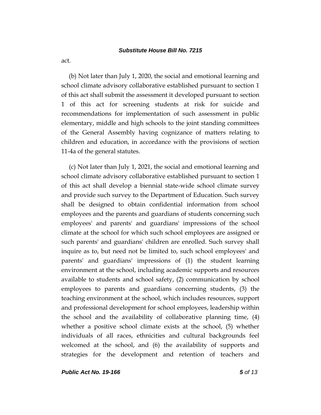act.

(b) Not later than July 1, 2020, the social and emotional learning and school climate advisory collaborative established pursuant to section 1 of this act shall submit the assessment it developed pursuant to section 1 of this act for screening students at risk for suicide and recommendations for implementation of such assessment in public elementary, middle and high schools to the joint standing committees of the General Assembly having cognizance of matters relating to children and education, in accordance with the provisions of section 11-4a of the general statutes.

(c) Not later than July 1, 2021, the social and emotional learning and school climate advisory collaborative established pursuant to section 1 of this act shall develop a biennial state-wide school climate survey and provide such survey to the Department of Education. Such survey shall be designed to obtain confidential information from school employees and the parents and guardians of students concerning such employees' and parents' and guardians' impressions of the school climate at the school for which such school employees are assigned or such parents' and guardians' children are enrolled. Such survey shall inquire as to, but need not be limited to, such school employees' and parents' and guardians' impressions of (1) the student learning environment at the school, including academic supports and resources available to students and school safety, (2) communication by school employees to parents and guardians concerning students, (3) the teaching environment at the school, which includes resources, support and professional development for school employees, leadership within the school and the availability of collaborative planning time, (4) whether a positive school climate exists at the school, (5) whether individuals of all races, ethnicities and cultural backgrounds feel welcomed at the school, and (6) the availability of supports and strategies for the development and retention of teachers and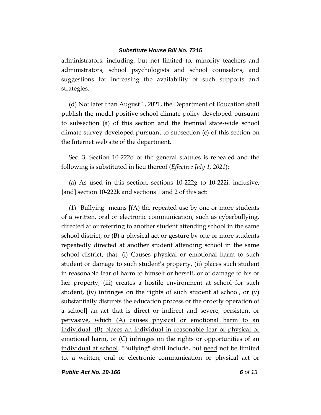administrators, including, but not limited to, minority teachers and administrators, school psychologists and school counselors, and suggestions for increasing the availability of such supports and strategies.

(d) Not later than August 1, 2021, the Department of Education shall publish the model positive school climate policy developed pursuant to subsection (a) of this section and the biennial state-wide school climate survey developed pursuant to subsection (c) of this section on the Internet web site of the department.

Sec. 3. Section 10-222d of the general statutes is repealed and the following is substituted in lieu thereof (*Effective July 1, 2021*):

(a) As used in this section, sections 10-222g to 10-222i, inclusive, **[**and**]** section 10-222k and sections 1 and 2 of this act:

(1) "Bullying" means **[**(A) the repeated use by one or more students of a written, oral or electronic communication, such as cyberbullying, directed at or referring to another student attending school in the same school district, or (B) a physical act or gesture by one or more students repeatedly directed at another student attending school in the same school district, that: (i) Causes physical or emotional harm to such student or damage to such student's property, (ii) places such student in reasonable fear of harm to himself or herself, or of damage to his or her property, (iii) creates a hostile environment at school for such student, (iv) infringes on the rights of such student at school, or (v) substantially disrupts the education process or the orderly operation of a school**]** an act that is direct or indirect and severe, persistent or pervasive, which (A) causes physical or emotional harm to an individual, (B) places an individual in reasonable fear of physical or emotional harm, or (C) infringes on the rights or opportunities of an individual at school. "Bullying" shall include, but need not be limited to, a written, oral or electronic communication or physical act or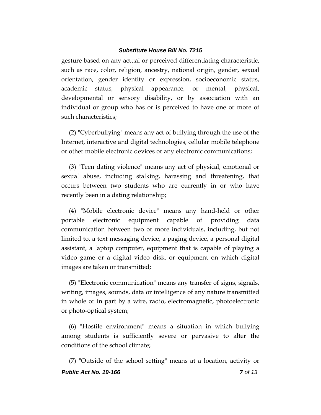gesture based on any actual or perceived differentiating characteristic, such as race, color, religion, ancestry, national origin, gender, sexual orientation, gender identity or expression, socioeconomic status, academic status, physical appearance, or mental, physical, developmental or sensory disability, or by association with an individual or group who has or is perceived to have one or more of such characteristics;

(2) "Cyberbullying" means any act of bullying through the use of the Internet, interactive and digital technologies, cellular mobile telephone or other mobile electronic devices or any electronic communications;

(3) "Teen dating violence" means any act of physical, emotional or sexual abuse, including stalking, harassing and threatening, that occurs between two students who are currently in or who have recently been in a dating relationship;

(4) "Mobile electronic device" means any hand-held or other portable electronic equipment capable of providing data communication between two or more individuals, including, but not limited to, a text messaging device, a paging device, a personal digital assistant, a laptop computer, equipment that is capable of playing a video game or a digital video disk, or equipment on which digital images are taken or transmitted;

(5) "Electronic communication" means any transfer of signs, signals, writing, images, sounds, data or intelligence of any nature transmitted in whole or in part by a wire, radio, electromagnetic, photoelectronic or photo-optical system;

(6) "Hostile environment" means a situation in which bullying among students is sufficiently severe or pervasive to alter the conditions of the school climate;

*Public Act No. 19-166 7 of 13* (7) "Outside of the school setting" means at a location, activity or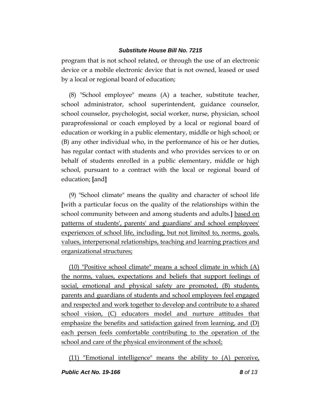program that is not school related, or through the use of an electronic device or a mobile electronic device that is not owned, leased or used by a local or regional board of education;

(8) "School employee" means (A) a teacher, substitute teacher, school administrator, school superintendent, guidance counselor, school counselor, psychologist, social worker, nurse, physician, school paraprofessional or coach employed by a local or regional board of education or working in a public elementary, middle or high school; or (B) any other individual who, in the performance of his or her duties, has regular contact with students and who provides services to or on behalf of students enrolled in a public elementary, middle or high school, pursuant to a contract with the local or regional board of education; **[**and**]**

(9) "School climate" means the quality and character of school life **[**with a particular focus on the quality of the relationships within the school community between and among students and adults.**]** based on patterns of students', parents' and guardians' and school employees' experiences of school life, including, but not limited to, norms, goals, values, interpersonal relationships, teaching and learning practices and organizational structures;

(10) "Positive school climate" means a school climate in which (A) the norms, values, expectations and beliefs that support feelings of social, emotional and physical safety are promoted, (B) students, parents and guardians of students and school employees feel engaged and respected and work together to develop and contribute to a shared school vision, (C) educators model and nurture attitudes that emphasize the benefits and satisfaction gained from learning, and (D) each person feels comfortable contributing to the operation of the school and care of the physical environment of the school;

(11) "Emotional intelligence" means the ability to (A) perceive,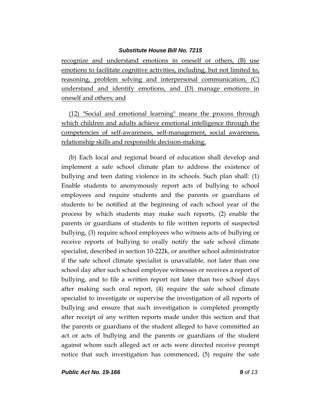recognize and understand emotions in oneself or others, (B) use emotions to facilitate cognitive activities, including, but not limited to, reasoning, problem solving and interpersonal communication, (C) understand and identify emotions, and (D) manage emotions in oneself and others; and

(12) "Social and emotional learning" means the process through which children and adults achieve emotional intelligence through the competencies of self-awareness, self-management, social awareness, relationship skills and responsible decision-making.

(b) Each local and regional board of education shall develop and implement a safe school climate plan to address the existence of bullying and teen dating violence in its schools. Such plan shall: (1) Enable students to anonymously report acts of bullying to school employees and require students and the parents or guardians of students to be notified at the beginning of each school year of the process by which students may make such reports, (2) enable the parents or guardians of students to file written reports of suspected bullying, (3) require school employees who witness acts of bullying or receive reports of bullying to orally notify the safe school climate specialist, described in section 10-222k, or another school administrator if the safe school climate specialist is unavailable, not later than one school day after such school employee witnesses or receives a report of bullying, and to file a written report not later than two school days after making such oral report, (4) require the safe school climate specialist to investigate or supervise the investigation of all reports of bullying and ensure that such investigation is completed promptly after receipt of any written reports made under this section and that the parents or guardians of the student alleged to have committed an act or acts of bullying and the parents or guardians of the student against whom such alleged act or acts were directed receive prompt notice that such investigation has commenced, (5) require the safe

*Public Act No. 19-166 9 of 13*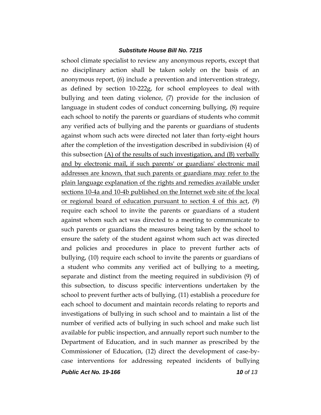school climate specialist to review any anonymous reports, except that no disciplinary action shall be taken solely on the basis of an anonymous report, (6) include a prevention and intervention strategy, as defined by section 10-222g, for school employees to deal with bullying and teen dating violence, (7) provide for the inclusion of language in student codes of conduct concerning bullying, (8) require each school to notify the parents or guardians of students who commit any verified acts of bullying and the parents or guardians of students against whom such acts were directed not later than forty-eight hours after the completion of the investigation described in subdivision (4) of this subsection (A) of the results of such investigation, and (B) verbally and by electronic mail, if such parents' or guardians' electronic mail addresses are known, that such parents or guardians may refer to the plain language explanation of the rights and remedies available under sections 10-4a and 10-4b published on the Internet web site of the local or regional board of education pursuant to section 4 of this act, (9) require each school to invite the parents or guardians of a student against whom such act was directed to a meeting to communicate to such parents or guardians the measures being taken by the school to ensure the safety of the student against whom such act was directed and policies and procedures in place to prevent further acts of bullying, (10) require each school to invite the parents or guardians of a student who commits any verified act of bullying to a meeting, separate and distinct from the meeting required in subdivision (9) of this subsection, to discuss specific interventions undertaken by the school to prevent further acts of bullying, (11) establish a procedure for each school to document and maintain records relating to reports and investigations of bullying in such school and to maintain a list of the number of verified acts of bullying in such school and make such list available for public inspection, and annually report such number to the Department of Education, and in such manner as prescribed by the Commissioner of Education, (12) direct the development of case-bycase interventions for addressing repeated incidents of bullying

*Public Act No. 19-166 10 of 13*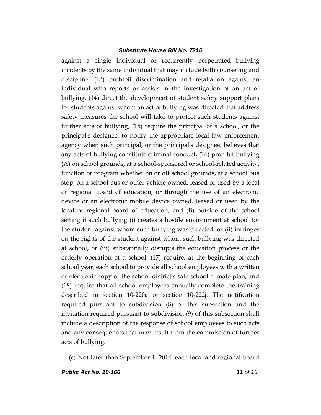against a single individual or recurrently perpetrated bullying incidents by the same individual that may include both counseling and discipline, (13) prohibit discrimination and retaliation against an individual who reports or assists in the investigation of an act of bullying, (14) direct the development of student safety support plans for students against whom an act of bullying was directed that address safety measures the school will take to protect such students against further acts of bullying, (15) require the principal of a school, or the principal's designee, to notify the appropriate local law enforcement agency when such principal, or the principal's designee, believes that any acts of bullying constitute criminal conduct, (16) prohibit bullying (A) on school grounds, at a school-sponsored or school-related activity, function or program whether on or off school grounds, at a school bus stop, on a school bus or other vehicle owned, leased or used by a local or regional board of education, or through the use of an electronic device or an electronic mobile device owned, leased or used by the local or regional board of education, and (B) outside of the school setting if such bullying (i) creates a hostile environment at school for the student against whom such bullying was directed, or (ii) infringes on the rights of the student against whom such bullying was directed at school, or (iii) substantially disrupts the education process or the orderly operation of a school, (17) require, at the beginning of each school year, each school to provide all school employees with a written or electronic copy of the school district's safe school climate plan, and (18) require that all school employees annually complete the training described in section 10-220a or section 10-222j. The notification required pursuant to subdivision (8) of this subsection and the invitation required pursuant to subdivision (9) of this subsection shall include a description of the response of school employees to such acts and any consequences that may result from the commission of further acts of bullying.

(c) Not later than September 1, 2014, each local and regional board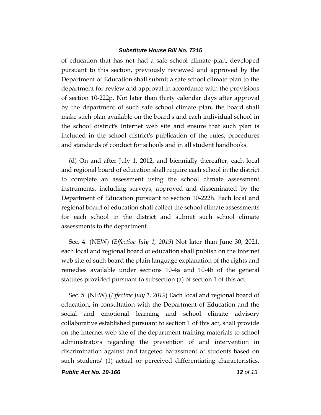of education that has not had a safe school climate plan, developed pursuant to this section, previously reviewed and approved by the Department of Education shall submit a safe school climate plan to the department for review and approval in accordance with the provisions of section 10-222p. Not later than thirty calendar days after approval by the department of such safe school climate plan, the board shall make such plan available on the board's and each individual school in the school district's Internet web site and ensure that such plan is included in the school district's publication of the rules, procedures and standards of conduct for schools and in all student handbooks.

(d) On and after July 1, 2012, and biennially thereafter, each local and regional board of education shall require each school in the district to complete an assessment using the school climate assessment instruments, including surveys, approved and disseminated by the Department of Education pursuant to section 10-222h. Each local and regional board of education shall collect the school climate assessments for each school in the district and submit such school climate assessments to the department.

Sec. 4. (NEW) (*Effective July 1, 2019*) Not later than June 30, 2021, each local and regional board of education shall publish on the Internet web site of such board the plain language explanation of the rights and remedies available under sections 10-4a and 10-4b of the general statutes provided pursuant to subsection (a) of section 1 of this act.

Sec. 5. (NEW) (*Effective July 1, 2019*) Each local and regional board of education, in consultation with the Department of Education and the social and emotional learning and school climate advisory collaborative established pursuant to section 1 of this act, shall provide on the Internet web site of the department training materials to school administrators regarding the prevention of and intervention in discrimination against and targeted harassment of students based on such students' (1) actual or perceived differentiating characteristics,

*Public Act No. 19-166 12 of 13*